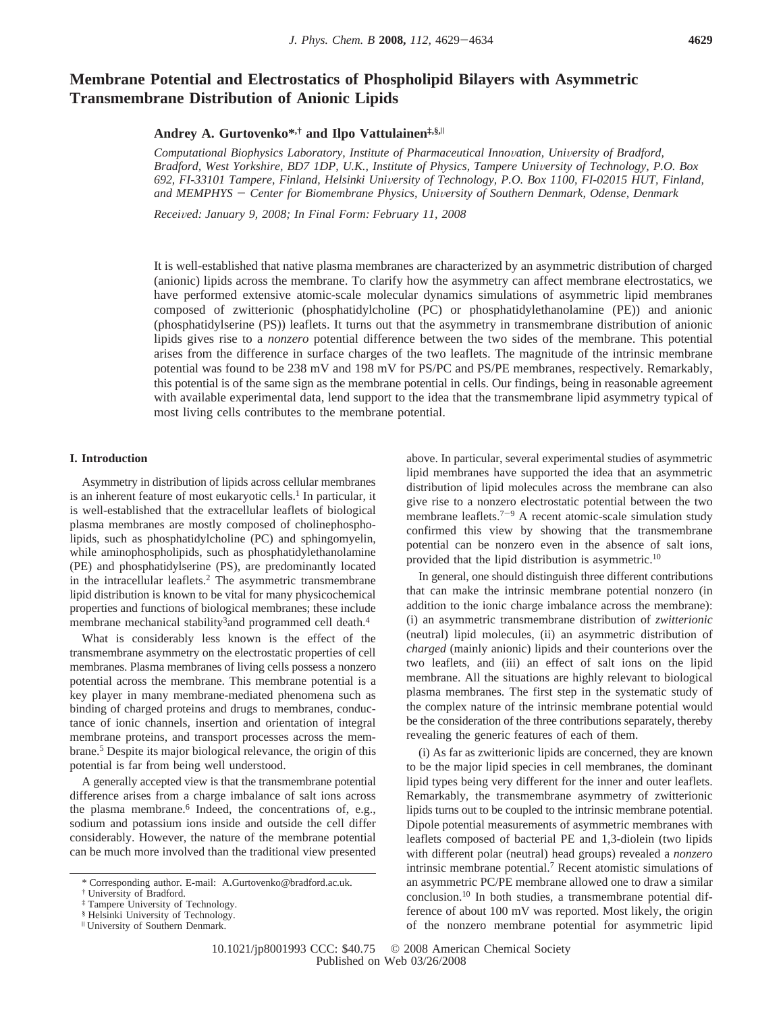# **Membrane Potential and Electrostatics of Phospholipid Bilayers with Asymmetric Transmembrane Distribution of Anionic Lipids**

**Andrey A. Gurtovenko\*,† and Ilpo Vattulainen‡,§,**<sup>|</sup>

*Computational Biophysics Laboratory, Institute of Pharmaceutical Inno*V*ation, Uni*V*ersity of Bradford, Bradford, West Yorkshire, BD7 1DP, U.K., Institute of Physics, Tampere University of Technology, P.O. Box 692, FI-33101 Tampere, Finland, Helsinki Uni*V*ersity of Technology, P.O. Box 1100, FI-02015 HUT, Finland, and MEMPHYS* - *Center for Biomembrane Physics, Uni*V*ersity of Southern Denmark, Odense, Denmark*

*Recei*V*ed: January 9, 2008; In Final Form: February 11, 2008*

It is well-established that native plasma membranes are characterized by an asymmetric distribution of charged (anionic) lipids across the membrane. To clarify how the asymmetry can affect membrane electrostatics, we have performed extensive atomic-scale molecular dynamics simulations of asymmetric lipid membranes composed of zwitterionic (phosphatidylcholine (PC) or phosphatidylethanolamine (PE)) and anionic (phosphatidylserine (PS)) leaflets. It turns out that the asymmetry in transmembrane distribution of anionic lipids gives rise to a *nonzero* potential difference between the two sides of the membrane. This potential arises from the difference in surface charges of the two leaflets. The magnitude of the intrinsic membrane potential was found to be 238 mV and 198 mV for PS/PC and PS/PE membranes, respectively. Remarkably, this potential is of the same sign as the membrane potential in cells. Our findings, being in reasonable agreement with available experimental data, lend support to the idea that the transmembrane lipid asymmetry typical of most living cells contributes to the membrane potential.

## **I. Introduction**

Asymmetry in distribution of lipids across cellular membranes is an inherent feature of most eukaryotic cells.<sup>1</sup> In particular, it is well-established that the extracellular leaflets of biological plasma membranes are mostly composed of cholinephospholipids, such as phosphatidylcholine (PC) and sphingomyelin, while aminophospholipids, such as phosphatidylethanolamine (PE) and phosphatidylserine (PS), are predominantly located in the intracellular leaflets.2 The asymmetric transmembrane lipid distribution is known to be vital for many physicochemical properties and functions of biological membranes; these include membrane mechanical stability<sup>3</sup> and programmed cell death.<sup>4</sup>

What is considerably less known is the effect of the transmembrane asymmetry on the electrostatic properties of cell membranes. Plasma membranes of living cells possess a nonzero potential across the membrane. This membrane potential is a key player in many membrane-mediated phenomena such as binding of charged proteins and drugs to membranes, conductance of ionic channels, insertion and orientation of integral membrane proteins, and transport processes across the membrane.5 Despite its major biological relevance, the origin of this potential is far from being well understood.

A generally accepted view is that the transmembrane potential difference arises from a charge imbalance of salt ions across the plasma membrane.<sup>6</sup> Indeed, the concentrations of, e.g., sodium and potassium ions inside and outside the cell differ considerably. However, the nature of the membrane potential can be much more involved than the traditional view presented

above. In particular, several experimental studies of asymmetric lipid membranes have supported the idea that an asymmetric distribution of lipid molecules across the membrane can also give rise to a nonzero electrostatic potential between the two membrane leaflets.<sup> $7-9$ </sup> A recent atomic-scale simulation study confirmed this view by showing that the transmembrane potential can be nonzero even in the absence of salt ions, provided that the lipid distribution is asymmetric.10

In general, one should distinguish three different contributions that can make the intrinsic membrane potential nonzero (in addition to the ionic charge imbalance across the membrane): (i) an asymmetric transmembrane distribution of *zwitterionic* (neutral) lipid molecules, (ii) an asymmetric distribution of *charged* (mainly anionic) lipids and their counterions over the two leaflets, and (iii) an effect of salt ions on the lipid membrane. All the situations are highly relevant to biological plasma membranes. The first step in the systematic study of the complex nature of the intrinsic membrane potential would be the consideration of the three contributions separately, thereby revealing the generic features of each of them.

(i) As far as zwitterionic lipids are concerned, they are known to be the major lipid species in cell membranes, the dominant lipid types being very different for the inner and outer leaflets. Remarkably, the transmembrane asymmetry of zwitterionic lipids turns out to be coupled to the intrinsic membrane potential. Dipole potential measurements of asymmetric membranes with leaflets composed of bacterial PE and 1,3-diolein (two lipids with different polar (neutral) head groups) revealed a *nonzero* intrinsic membrane potential.7 Recent atomistic simulations of an asymmetric PC/PE membrane allowed one to draw a similar conclusion.10 In both studies, a transmembrane potential difference of about 100 mV was reported. Most likely, the origin of the nonzero membrane potential for asymmetric lipid

<sup>\*</sup> Corresponding author. E-mail: A.Gurtovenko@bradford.ac.uk.

<sup>†</sup> University of Bradford.

<sup>‡</sup> Tampere University of Technology.

<sup>§</sup> Helsinki University of Technology.

<sup>|</sup> University of Southern Denmark.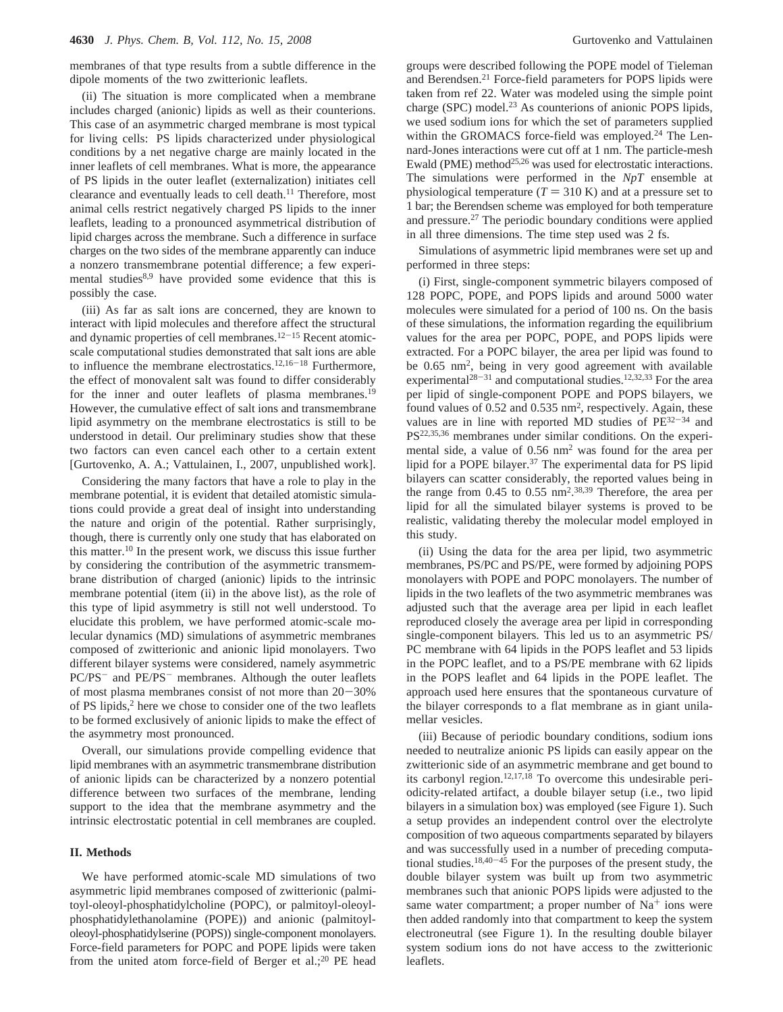membranes of that type results from a subtle difference in the dipole moments of the two zwitterionic leaflets.

(ii) The situation is more complicated when a membrane includes charged (anionic) lipids as well as their counterions. This case of an asymmetric charged membrane is most typical for living cells: PS lipids characterized under physiological conditions by a net negative charge are mainly located in the inner leaflets of cell membranes. What is more, the appearance of PS lipids in the outer leaflet (externalization) initiates cell clearance and eventually leads to cell death.11 Therefore, most animal cells restrict negatively charged PS lipids to the inner leaflets, leading to a pronounced asymmetrical distribution of lipid charges across the membrane. Such a difference in surface charges on the two sides of the membrane apparently can induce a nonzero transmembrane potential difference; a few experimental studies<sup>8,9</sup> have provided some evidence that this is possibly the case.

(iii) As far as salt ions are concerned, they are known to interact with lipid molecules and therefore affect the structural and dynamic properties of cell membranes. $12-15$  Recent atomicscale computational studies demonstrated that salt ions are able to influence the membrane electrostatics.<sup>12,16-18</sup> Furthermore, the effect of monovalent salt was found to differ considerably for the inner and outer leaflets of plasma membranes.<sup>19</sup> However, the cumulative effect of salt ions and transmembrane lipid asymmetry on the membrane electrostatics is still to be understood in detail. Our preliminary studies show that these two factors can even cancel each other to a certain extent [Gurtovenko, A. A.; Vattulainen, I., 2007, unpublished work].

Considering the many factors that have a role to play in the membrane potential, it is evident that detailed atomistic simulations could provide a great deal of insight into understanding the nature and origin of the potential. Rather surprisingly, though, there is currently only one study that has elaborated on this matter.10 In the present work, we discuss this issue further by considering the contribution of the asymmetric transmembrane distribution of charged (anionic) lipids to the intrinsic membrane potential (item (ii) in the above list), as the role of this type of lipid asymmetry is still not well understood. To elucidate this problem, we have performed atomic-scale molecular dynamics (MD) simulations of asymmetric membranes composed of zwitterionic and anionic lipid monolayers. Two different bilayer systems were considered, namely asymmetric PC/PS<sup>-</sup> and PE/PS<sup>-</sup> membranes. Although the outer leaflets of most plasma membranes consist of not more than 20-30% of PS lipids,2 here we chose to consider one of the two leaflets to be formed exclusively of anionic lipids to make the effect of the asymmetry most pronounced.

Overall, our simulations provide compelling evidence that lipid membranes with an asymmetric transmembrane distribution of anionic lipids can be characterized by a nonzero potential difference between two surfaces of the membrane, lending support to the idea that the membrane asymmetry and the intrinsic electrostatic potential in cell membranes are coupled.

#### **II. Methods**

We have performed atomic-scale MD simulations of two asymmetric lipid membranes composed of zwitterionic (palmitoyl-oleoyl-phosphatidylcholine (POPC), or palmitoyl-oleoylphosphatidylethanolamine (POPE)) and anionic (palmitoyloleoyl-phosphatidylserine (POPS)) single-component monolayers. Force-field parameters for POPC and POPE lipids were taken from the united atom force-field of Berger et al.;<sup>20</sup> PE head

groups were described following the POPE model of Tieleman and Berendsen.<sup>21</sup> Force-field parameters for POPS lipids were taken from ref 22. Water was modeled using the simple point charge (SPC) model.<sup>23</sup> As counterions of anionic POPS lipids, we used sodium ions for which the set of parameters supplied within the GROMACS force-field was employed.<sup>24</sup> The Lennard-Jones interactions were cut off at 1 nm. The particle-mesh Ewald (PME) method<sup>25,26</sup> was used for electrostatic interactions. The simulations were performed in the *NpT* ensemble at physiological temperature  $(T = 310 \text{ K})$  and at a pressure set to 1 bar; the Berendsen scheme was employed for both temperature and pressure.27 The periodic boundary conditions were applied in all three dimensions. The time step used was 2 fs.

Simulations of asymmetric lipid membranes were set up and performed in three steps:

(i) First, single-component symmetric bilayers composed of 128 POPC, POPE, and POPS lipids and around 5000 water molecules were simulated for a period of 100 ns. On the basis of these simulations, the information regarding the equilibrium values for the area per POPC, POPE, and POPS lipids were extracted. For a POPC bilayer, the area per lipid was found to be 0.65 nm2, being in very good agreement with available experimental<sup>28-31</sup> and computational studies.<sup>12,32,33</sup> For the area per lipid of single-component POPE and POPS bilayers, we found values of 0.52 and 0.535 nm2, respectively. Again, these values are in line with reported MD studies of  $PE^{32-34}$  and PS22,35,36 membranes under similar conditions. On the experimental side, a value of 0.56 nm2 was found for the area per lipid for a POPE bilayer.<sup>37</sup> The experimental data for PS lipid bilayers can scatter considerably, the reported values being in the range from  $0.45$  to  $0.55$  nm<sup>2</sup>.<sup>38,39</sup> Therefore, the area per lipid for all the simulated bilayer systems is proved to be realistic, validating thereby the molecular model employed in this study.

(ii) Using the data for the area per lipid, two asymmetric membranes, PS/PC and PS/PE, were formed by adjoining POPS monolayers with POPE and POPC monolayers. The number of lipids in the two leaflets of the two asymmetric membranes was adjusted such that the average area per lipid in each leaflet reproduced closely the average area per lipid in corresponding single-component bilayers. This led us to an asymmetric PS/ PC membrane with 64 lipids in the POPS leaflet and 53 lipids in the POPC leaflet, and to a PS/PE membrane with 62 lipids in the POPS leaflet and 64 lipids in the POPE leaflet. The approach used here ensures that the spontaneous curvature of the bilayer corresponds to a flat membrane as in giant unilamellar vesicles.

(iii) Because of periodic boundary conditions, sodium ions needed to neutralize anionic PS lipids can easily appear on the zwitterionic side of an asymmetric membrane and get bound to its carbonyl region.12,17,18 To overcome this undesirable periodicity-related artifact, a double bilayer setup (i.e., two lipid bilayers in a simulation box) was employed (see Figure 1). Such a setup provides an independent control over the electrolyte composition of two aqueous compartments separated by bilayers and was successfully used in a number of preceding computational studies.18,40-<sup>45</sup> For the purposes of the present study, the double bilayer system was built up from two asymmetric membranes such that anionic POPS lipids were adjusted to the same water compartment; a proper number of  $Na<sup>+</sup>$  ions were then added randomly into that compartment to keep the system electroneutral (see Figure 1). In the resulting double bilayer system sodium ions do not have access to the zwitterionic leaflets.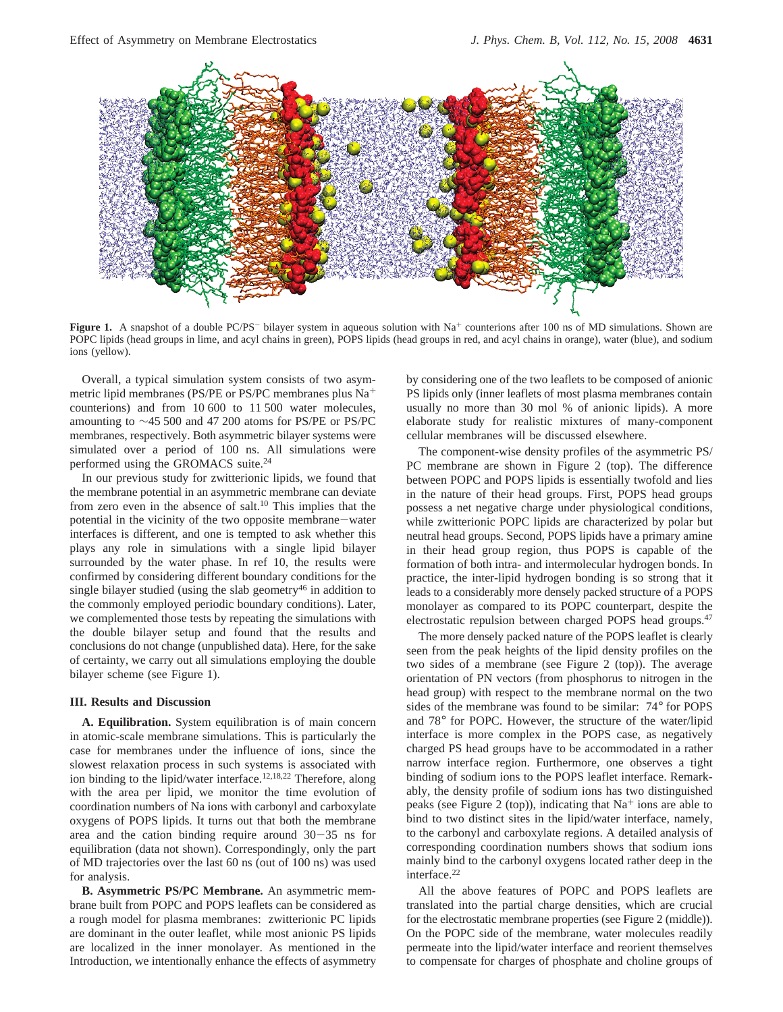

**Figure 1.** A snapshot of a double PC/PS<sup>-</sup> bilayer system in aqueous solution with Na<sup>+</sup> counterions after 100 ns of MD simulations. Shown are POPC lipids (head groups in lime, and acyl chains in green), POPS lipids (head groups in red, and acyl chains in orange), water (blue), and sodium ions (yellow).

Overall, a typical simulation system consists of two asymmetric lipid membranes (PS/PE or PS/PC membranes plus Na+ counterions) and from 10 600 to 11 500 water molecules, amounting to ∼45 500 and 47 200 atoms for PS/PE or PS/PC membranes, respectively. Both asymmetric bilayer systems were simulated over a period of 100 ns. All simulations were performed using the GROMACS suite.24

In our previous study for zwitterionic lipids, we found that the membrane potential in an asymmetric membrane can deviate from zero even in the absence of salt.10 This implies that the potential in the vicinity of the two opposite membrane-water interfaces is different, and one is tempted to ask whether this plays any role in simulations with a single lipid bilayer surrounded by the water phase. In ref 10, the results were confirmed by considering different boundary conditions for the single bilayer studied (using the slab geometry $46$  in addition to the commonly employed periodic boundary conditions). Later, we complemented those tests by repeating the simulations with the double bilayer setup and found that the results and conclusions do not change (unpublished data). Here, for the sake of certainty, we carry out all simulations employing the double bilayer scheme (see Figure 1).

### **III. Results and Discussion**

**A. Equilibration.** System equilibration is of main concern in atomic-scale membrane simulations. This is particularly the case for membranes under the influence of ions, since the slowest relaxation process in such systems is associated with ion binding to the lipid/water interface.<sup>12,18,22</sup> Therefore, along with the area per lipid, we monitor the time evolution of coordination numbers of Na ions with carbonyl and carboxylate oxygens of POPS lipids. It turns out that both the membrane area and the cation binding require around 30-35 ns for equilibration (data not shown). Correspondingly, only the part of MD trajectories over the last 60 ns (out of 100 ns) was used for analysis.

**B. Asymmetric PS/PC Membrane.** An asymmetric membrane built from POPC and POPS leaflets can be considered as a rough model for plasma membranes: zwitterionic PC lipids are dominant in the outer leaflet, while most anionic PS lipids are localized in the inner monolayer. As mentioned in the Introduction, we intentionally enhance the effects of asymmetry by considering one of the two leaflets to be composed of anionic PS lipids only (inner leaflets of most plasma membranes contain usually no more than 30 mol % of anionic lipids). A more elaborate study for realistic mixtures of many-component cellular membranes will be discussed elsewhere.

The component-wise density profiles of the asymmetric PS/ PC membrane are shown in Figure 2 (top). The difference between POPC and POPS lipids is essentially twofold and lies in the nature of their head groups. First, POPS head groups possess a net negative charge under physiological conditions, while zwitterionic POPC lipids are characterized by polar but neutral head groups. Second, POPS lipids have a primary amine in their head group region, thus POPS is capable of the formation of both intra- and intermolecular hydrogen bonds. In practice, the inter-lipid hydrogen bonding is so strong that it leads to a considerably more densely packed structure of a POPS monolayer as compared to its POPC counterpart, despite the electrostatic repulsion between charged POPS head groups.<sup>47</sup>

The more densely packed nature of the POPS leaflet is clearly seen from the peak heights of the lipid density profiles on the two sides of a membrane (see Figure 2 (top)). The average orientation of PN vectors (from phosphorus to nitrogen in the head group) with respect to the membrane normal on the two sides of the membrane was found to be similar: 74° for POPS and 78° for POPC. However, the structure of the water/lipid interface is more complex in the POPS case, as negatively charged PS head groups have to be accommodated in a rather narrow interface region. Furthermore, one observes a tight binding of sodium ions to the POPS leaflet interface. Remarkably, the density profile of sodium ions has two distinguished peaks (see Figure 2 (top)), indicating that  $Na<sup>+</sup>$  ions are able to bind to two distinct sites in the lipid/water interface, namely, to the carbonyl and carboxylate regions. A detailed analysis of corresponding coordination numbers shows that sodium ions mainly bind to the carbonyl oxygens located rather deep in the interface.22

All the above features of POPC and POPS leaflets are translated into the partial charge densities, which are crucial for the electrostatic membrane properties (see Figure 2 (middle)). On the POPC side of the membrane, water molecules readily permeate into the lipid/water interface and reorient themselves to compensate for charges of phosphate and choline groups of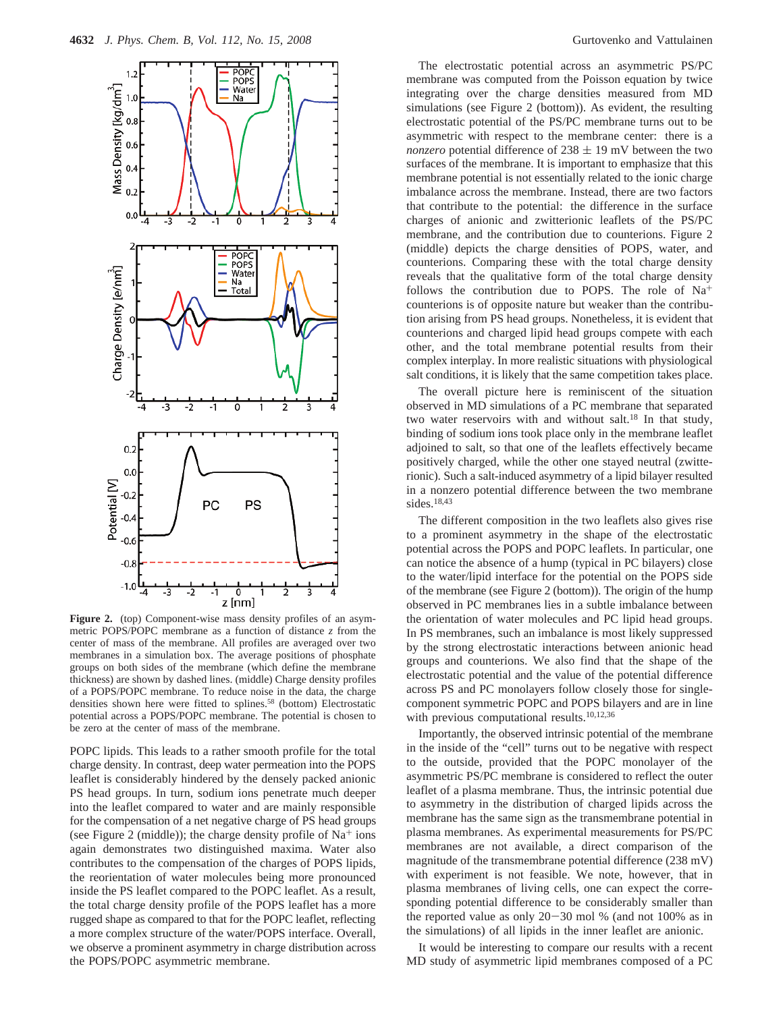

**Figure 2.** (top) Component-wise mass density profiles of an asymmetric POPS/POPC membrane as a function of distance *z* from the center of mass of the membrane. All profiles are averaged over two membranes in a simulation box. The average positions of phosphate groups on both sides of the membrane (which define the membrane thickness) are shown by dashed lines. (middle) Charge density profiles of a POPS/POPC membrane. To reduce noise in the data, the charge densities shown here were fitted to splines.<sup>58</sup> (bottom) Electrostatic potential across a POPS/POPC membrane. The potential is chosen to be zero at the center of mass of the membrane.

POPC lipids. This leads to a rather smooth profile for the total charge density. In contrast, deep water permeation into the POPS leaflet is considerably hindered by the densely packed anionic PS head groups. In turn, sodium ions penetrate much deeper into the leaflet compared to water and are mainly responsible for the compensation of a net negative charge of PS head groups (see Figure 2 (middle)); the charge density profile of  $Na<sup>+</sup>$  ions again demonstrates two distinguished maxima. Water also contributes to the compensation of the charges of POPS lipids, the reorientation of water molecules being more pronounced inside the PS leaflet compared to the POPC leaflet. As a result, the total charge density profile of the POPS leaflet has a more rugged shape as compared to that for the POPC leaflet, reflecting a more complex structure of the water/POPS interface. Overall, we observe a prominent asymmetry in charge distribution across the POPS/POPC asymmetric membrane.

The electrostatic potential across an asymmetric PS/PC membrane was computed from the Poisson equation by twice integrating over the charge densities measured from MD simulations (see Figure 2 (bottom)). As evident, the resulting electrostatic potential of the PS/PC membrane turns out to be asymmetric with respect to the membrane center: there is a *nonzero* potential difference of  $238 \pm 19$  mV between the two surfaces of the membrane. It is important to emphasize that this membrane potential is not essentially related to the ionic charge imbalance across the membrane. Instead, there are two factors that contribute to the potential: the difference in the surface charges of anionic and zwitterionic leaflets of the PS/PC membrane, and the contribution due to counterions. Figure 2 (middle) depicts the charge densities of POPS, water, and counterions. Comparing these with the total charge density reveals that the qualitative form of the total charge density follows the contribution due to POPS. The role of  $Na<sup>+</sup>$ counterions is of opposite nature but weaker than the contribution arising from PS head groups. Nonetheless, it is evident that counterions and charged lipid head groups compete with each other, and the total membrane potential results from their complex interplay. In more realistic situations with physiological salt conditions, it is likely that the same competition takes place.

The overall picture here is reminiscent of the situation observed in MD simulations of a PC membrane that separated two water reservoirs with and without salt.<sup>18</sup> In that study, binding of sodium ions took place only in the membrane leaflet adjoined to salt, so that one of the leaflets effectively became positively charged, while the other one stayed neutral (zwitterionic). Such a salt-induced asymmetry of a lipid bilayer resulted in a nonzero potential difference between the two membrane sides.18,43

The different composition in the two leaflets also gives rise to a prominent asymmetry in the shape of the electrostatic potential across the POPS and POPC leaflets. In particular, one can notice the absence of a hump (typical in PC bilayers) close to the water/lipid interface for the potential on the POPS side of the membrane (see Figure 2 (bottom)). The origin of the hump observed in PC membranes lies in a subtle imbalance between the orientation of water molecules and PC lipid head groups. In PS membranes, such an imbalance is most likely suppressed by the strong electrostatic interactions between anionic head groups and counterions. We also find that the shape of the electrostatic potential and the value of the potential difference across PS and PC monolayers follow closely those for singlecomponent symmetric POPC and POPS bilayers and are in line with previous computational results.<sup>10,12,36</sup>

Importantly, the observed intrinsic potential of the membrane in the inside of the "cell" turns out to be negative with respect to the outside, provided that the POPC monolayer of the asymmetric PS/PC membrane is considered to reflect the outer leaflet of a plasma membrane. Thus, the intrinsic potential due to asymmetry in the distribution of charged lipids across the membrane has the same sign as the transmembrane potential in plasma membranes. As experimental measurements for PS/PC membranes are not available, a direct comparison of the magnitude of the transmembrane potential difference (238 mV) with experiment is not feasible. We note, however, that in plasma membranes of living cells, one can expect the corresponding potential difference to be considerably smaller than the reported value as only  $20-30$  mol % (and not 100% as in the simulations) of all lipids in the inner leaflet are anionic.

It would be interesting to compare our results with a recent MD study of asymmetric lipid membranes composed of a PC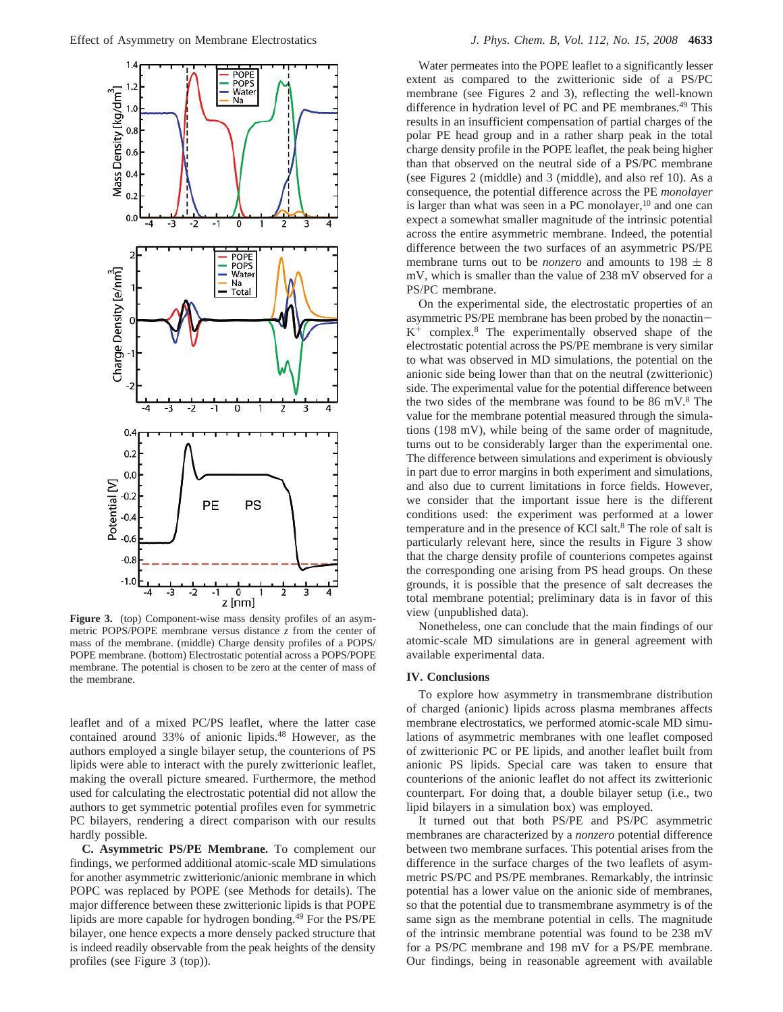

**Figure 3.** (top) Component-wise mass density profiles of an asymmetric POPS/POPE membrane versus distance *z* from the center of mass of the membrane. (middle) Charge density profiles of a POPS/ POPE membrane. (bottom) Electrostatic potential across a POPS/POPE membrane. The potential is chosen to be zero at the center of mass of the membrane.

leaflet and of a mixed PC/PS leaflet, where the latter case contained around 33% of anionic lipids.<sup>48</sup> However, as the authors employed a single bilayer setup, the counterions of PS lipids were able to interact with the purely zwitterionic leaflet, making the overall picture smeared. Furthermore, the method used for calculating the electrostatic potential did not allow the authors to get symmetric potential profiles even for symmetric PC bilayers, rendering a direct comparison with our results hardly possible.

**C. Asymmetric PS/PE Membrane.** To complement our findings, we performed additional atomic-scale MD simulations for another asymmetric zwitterionic/anionic membrane in which POPC was replaced by POPE (see Methods for details). The major difference between these zwitterionic lipids is that POPE lipids are more capable for hydrogen bonding.<sup>49</sup> For the PS/PE bilayer, one hence expects a more densely packed structure that is indeed readily observable from the peak heights of the density profiles (see Figure 3 (top)).

Water permeates into the POPE leaflet to a significantly lesser extent as compared to the zwitterionic side of a PS/PC membrane (see Figures 2 and 3), reflecting the well-known difference in hydration level of PC and PE membranes.<sup>49</sup> This results in an insufficient compensation of partial charges of the polar PE head group and in a rather sharp peak in the total charge density profile in the POPE leaflet, the peak being higher than that observed on the neutral side of a PS/PC membrane (see Figures 2 (middle) and 3 (middle), and also ref 10). As a consequence, the potential difference across the PE *monolayer* is larger than what was seen in a PC monolayer,  $10$  and one can expect a somewhat smaller magnitude of the intrinsic potential across the entire asymmetric membrane. Indeed, the potential difference between the two surfaces of an asymmetric PS/PE membrane turns out to be *nonzero* and amounts to  $198 \pm 8$ mV, which is smaller than the value of 238 mV observed for a PS/PC membrane.

On the experimental side, the electrostatic properties of an asymmetric PS/PE membrane has been probed by the nonactin- $K^+$  complex.<sup>8</sup> The experimentally observed shape of the electrostatic potential across the PS/PE membrane is very similar to what was observed in MD simulations, the potential on the anionic side being lower than that on the neutral (zwitterionic) side. The experimental value for the potential difference between the two sides of the membrane was found to be  $86 \text{ mV}$ .<sup>8</sup> The value for the membrane potential measured through the simulations (198 mV), while being of the same order of magnitude, turns out to be considerably larger than the experimental one. The difference between simulations and experiment is obviously in part due to error margins in both experiment and simulations, and also due to current limitations in force fields. However, we consider that the important issue here is the different conditions used: the experiment was performed at a lower temperature and in the presence of KCl salt.8 The role of salt is particularly relevant here, since the results in Figure 3 show that the charge density profile of counterions competes against the corresponding one arising from PS head groups. On these grounds, it is possible that the presence of salt decreases the total membrane potential; preliminary data is in favor of this view (unpublished data).

Nonetheless, one can conclude that the main findings of our atomic-scale MD simulations are in general agreement with available experimental data.

## **IV. Conclusions**

To explore how asymmetry in transmembrane distribution of charged (anionic) lipids across plasma membranes affects membrane electrostatics, we performed atomic-scale MD simulations of asymmetric membranes with one leaflet composed of zwitterionic PC or PE lipids, and another leaflet built from anionic PS lipids. Special care was taken to ensure that counterions of the anionic leaflet do not affect its zwitterionic counterpart. For doing that, a double bilayer setup (i.e., two lipid bilayers in a simulation box) was employed.

It turned out that both PS/PE and PS/PC asymmetric membranes are characterized by a *nonzero* potential difference between two membrane surfaces. This potential arises from the difference in the surface charges of the two leaflets of asymmetric PS/PC and PS/PE membranes. Remarkably, the intrinsic potential has a lower value on the anionic side of membranes, so that the potential due to transmembrane asymmetry is of the same sign as the membrane potential in cells. The magnitude of the intrinsic membrane potential was found to be 238 mV for a PS/PC membrane and 198 mV for a PS/PE membrane. Our findings, being in reasonable agreement with available